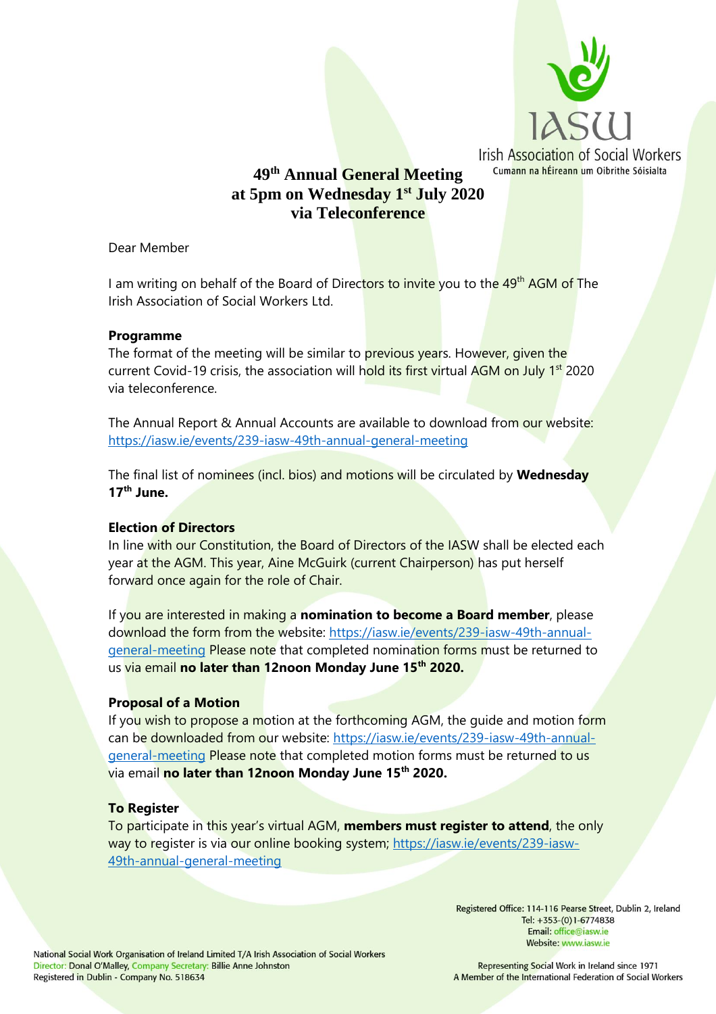

# **49 th Annual General Meeting at 5pm on Wednesday 1st July 2020 via Teleconference**

Dear Member

I am writing on behalf of the Board of Direc<mark>tors to invite</mark> you to th<mark>e 49<sup>th</sup> AGM of</mark> The Irish Association of Social Workers Ltd.

### **Programme**

The format of the meeting will be similar to previous years. However, given the current Covid-19 crisis, the association will hold its first virtual AGM on July 1<sup>st</sup> 2020 via teleconference.

The Annual Report & Annual Accounts are available to download from our website: <https://iasw.ie/events/239-iasw-49th-annual-general-meeting>

The final list of nominees (incl. bios) and motions will be circulated by **Wednesday 17th June.** 

## **Election of Directors**

In line with our Constitution, the Board of Directors of the IASW shall be elected each year at the AGM. This year, Aine McGuirk (current Chairperson) has put herself forward once again for the role of Chair.

If you are interested in making a **nomination to become a Board member**, please download the form from the website: [https://iasw.ie/events/239-iasw-49th-annual](https://iasw.ie/events/239-iasw-49th-annual-general-meeting)[general-meeting](https://iasw.ie/events/239-iasw-49th-annual-general-meeting) Please note that completed nomination forms must be returned to us via email **no later than 12noon Monday June 15th 2020.**

#### **Proposal of a Motion**

If you wish to propose a motion at the forthcoming AGM, the quide and motion form can be downloaded from our website: [https://iasw.ie/events/239-iasw-49th-annual](https://iasw.ie/events/239-iasw-49th-annual-general-meeting)[general-meeting](https://iasw.ie/events/239-iasw-49th-annual-general-meeting) Please note that completed motion forms must be returned to us via email **no later than 12noon Monday June 15th 2020.** 

#### **To Register**

To participate in this year's virtual AGM, **members must register to attend**, the only way to register is via our online booking system; [https://iasw.ie/events/239-iasw-](https://iasw.ie/events/239-iasw-49th-annual-general-meeting)[49th-annual-general-meeting](https://iasw.ie/events/239-iasw-49th-annual-general-meeting)

> Registered Office: 114-116 Pearse Street, Dublin 2, Ireland Tel: +353-(0)1-6774838 Email: office@iasw.ie Website: www.iasw.ie

Representing Social Work in Ireland since 1971 A Member of the International Federation of Social Workers